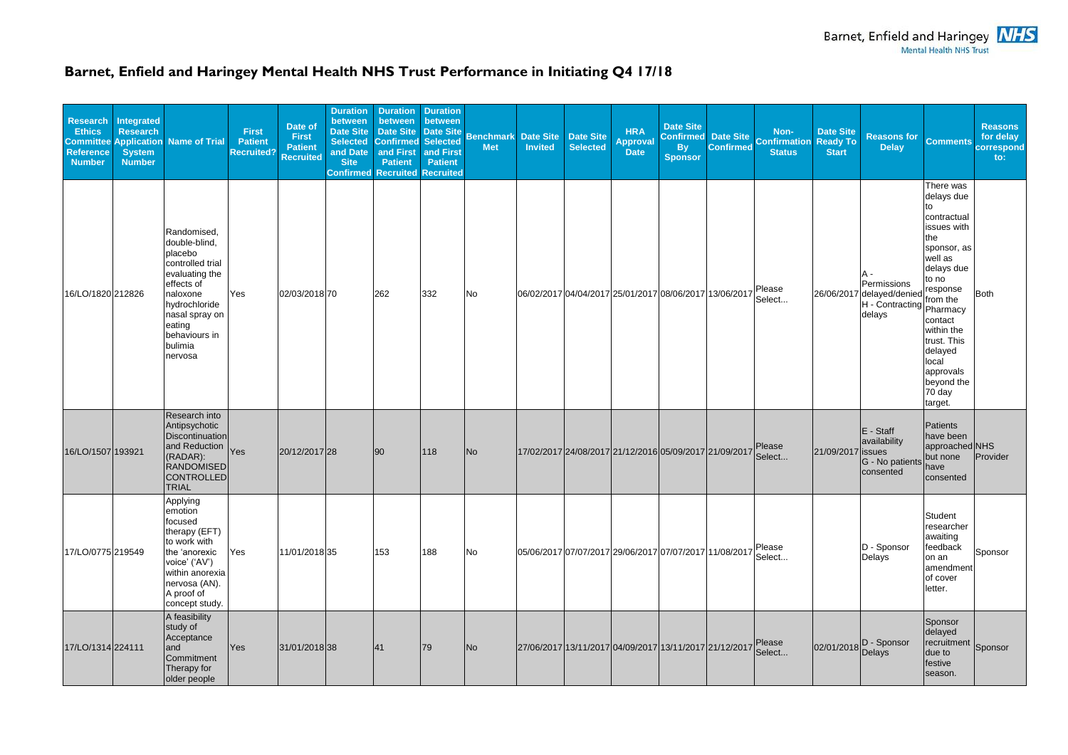## **Barnet, Enfield and Haringey Mental Health NHS Trust Performance in Initiating Q4 17/18**

| <b>Research</b><br><b>Ethics</b><br><b>Reference</b><br><b>Number</b> | Integrated<br><b>Research</b><br><b>System</b><br><b>Number</b> | <b>Committee Application Name of Trial</b>                                                                                                                                                  | <b>First</b><br><b>Patient</b><br><b>Recruited?</b> | Date of<br><b>First</b><br><b>Patient</b><br><b>Recruited</b> | <b>Duration</b><br>between<br><b>Date Site</b><br><b>Selected</b><br>and Date<br><b>Site</b> | <b>Duration</b><br>between<br><b>Date Site</b><br><b>Confirmed Selected</b><br>and First<br><b>Patient</b><br><b>Confirmed Recruited Recruited</b> | <b>Duration</b><br>between<br><b>Date Site</b><br>and First<br><b>Patient</b> | <b>Benchmark Date Site</b><br><b>Met</b> | <b>Invited</b> | <b>Date Site</b><br><b>Selected</b> | <b>HRA</b><br><b>Approval</b><br><b>Date</b>           | Date Site<br><b>Confirmed</b><br><b>By</b><br><b>Sponsor</b> | Date Site<br><b>Confirmed</b> | Non-<br><b>Confirmation</b><br><b>Status</b> | <b>Date Site</b><br><b>Ready To</b><br><b>Start</b> | <b>Reasons for</b><br><b>Delay</b>                                                       | <b>Comments</b>                                                                                                                                                                                                                   | <b>Reasons</b><br>for delay<br>correspond<br>to: |
|-----------------------------------------------------------------------|-----------------------------------------------------------------|---------------------------------------------------------------------------------------------------------------------------------------------------------------------------------------------|-----------------------------------------------------|---------------------------------------------------------------|----------------------------------------------------------------------------------------------|----------------------------------------------------------------------------------------------------------------------------------------------------|-------------------------------------------------------------------------------|------------------------------------------|----------------|-------------------------------------|--------------------------------------------------------|--------------------------------------------------------------|-------------------------------|----------------------------------------------|-----------------------------------------------------|------------------------------------------------------------------------------------------|-----------------------------------------------------------------------------------------------------------------------------------------------------------------------------------------------------------------------------------|--------------------------------------------------|
| 16/LO/1820 212826                                                     |                                                                 | Randomised,<br>double-blind,<br>placebo<br>controlled trial<br>evaluating the<br>effects of<br>naloxone<br>hydrochloride<br>nasal spray on<br>eating<br>behaviours in<br>bulimia<br>nervosa | <b>Yes</b>                                          | 02/03/2018 70                                                 |                                                                                              | 262                                                                                                                                                | 332                                                                           | No                                       |                |                                     | 06/02/2017 04/04/2017 25/01/2017 08/06/2017 13/06/2017 |                                                              |                               | Please<br>Select                             |                                                     | Permissions<br>26/06/2017 delayed/denied   Esponso<br>H - Contracting Pharmacy<br>delays | There was<br>delays due<br>to<br>contractual<br>issues with<br>the<br>sponsor, as<br>well as<br>delays due<br>to no<br>contact<br>within the<br>trust. This<br>delayed<br>local<br>approvals<br>beyond the<br>$70$ day<br>target. | <b>Both</b>                                      |
| 16/LO/1507 193921                                                     |                                                                 | Research into<br>Antipsychotic<br>Discontinuation<br>and Reduction Yes<br>(RADAR):<br><b>RANDOMISED</b><br>CONTROLLED<br><b>TRIAL</b>                                                       |                                                     | 20/12/2017 28                                                 |                                                                                              | 90                                                                                                                                                 | 118                                                                           | No                                       |                |                                     | 17/02/2017 24/08/2017 21/12/2016 05/09/2017 21/09/2017 |                                                              |                               | Please<br>Select                             | 21/09/2017 issues                                   | $E - Staff$<br>availability<br>G - No patients<br>consented                              | Patients<br>have been<br>approached NHS<br>but none<br>have<br>consented                                                                                                                                                          | Provider                                         |
| 17/LO/0775 219549                                                     |                                                                 | Applying<br>emotion<br>focused<br>therapy (EFT)<br>to work with<br>the 'anorexic<br>voice' ('AV')<br>within anorexia<br>nervosa (AN).<br>A proof of<br>concept study.                       | Yes                                                 | 11/01/2018 35                                                 |                                                                                              | 153                                                                                                                                                | 188                                                                           | <b>No</b>                                |                |                                     | 05/06/2017 07/07/2017 29/06/2017 07/07/2017 11/08/2017 |                                                              |                               | Please<br>Select                             |                                                     | $ D - Sponsor$<br>Delays                                                                 | Student<br>researcher<br>awaiting<br>feedback<br>on an<br>amendment<br>of cover<br>letter.                                                                                                                                        | Sponsor                                          |
| 17/LO/1314 224111                                                     |                                                                 | A feasibility<br>study of<br>Acceptance<br>and<br>Commitment<br>Therapy for<br>older people                                                                                                 | Yes                                                 | 31/01/2018 38                                                 |                                                                                              | 41                                                                                                                                                 | 79                                                                            | No                                       |                |                                     | 27/06/2017 13/11/2017 04/09/2017 13/11/2017 21/12/2017 |                                                              |                               | Please<br>Select                             |                                                     | 02/01/2018 D - Sponsor                                                                   | Sponsor<br>delayed<br>recruitment Sponsor<br>due to<br>festive<br>season.                                                                                                                                                         |                                                  |



Barnet, Enfield and Haringey **NHS**